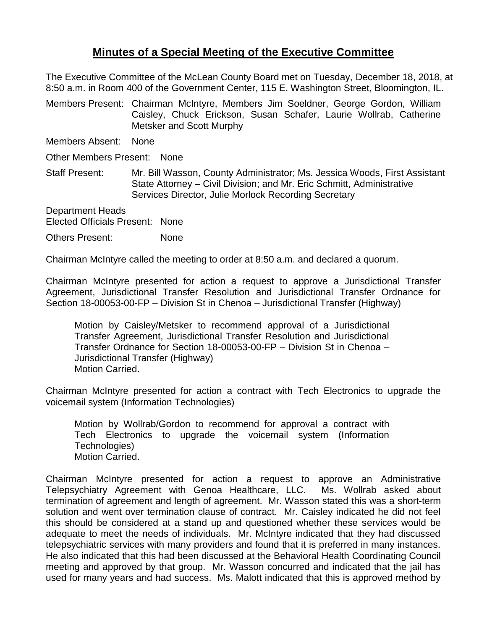## **Minutes of a Special Meeting of the Executive Committee**

The Executive Committee of the McLean County Board met on Tuesday, December 18, 2018, at 8:50 a.m. in Room 400 of the Government Center, 115 E. Washington Street, Bloomington, IL.

Members Present: Chairman McIntyre, Members Jim Soeldner, George Gordon, William Caisley, Chuck Erickson, Susan Schafer, Laurie Wollrab, Catherine Metsker and Scott Murphy

Members Absent: None

Other Members Present: None

Staff Present: Mr. Bill Wasson, County Administrator; Ms. Jessica Woods, First Assistant State Attorney – Civil Division; and Mr. Eric Schmitt, Administrative Services Director, Julie Morlock Recording Secretary

Department Heads Elected Officials Present: None

Others Present: None

Chairman McIntyre called the meeting to order at 8:50 a.m. and declared a quorum.

Chairman McIntyre presented for action a request to approve a Jurisdictional Transfer Agreement, Jurisdictional Transfer Resolution and Jurisdictional Transfer Ordnance for Section 18-00053-00-FP – Division St in Chenoa – Jurisdictional Transfer (Highway)

Motion by Caisley/Metsker to recommend approval of a Jurisdictional Transfer Agreement, Jurisdictional Transfer Resolution and Jurisdictional Transfer Ordnance for Section 18-00053-00-FP – Division St in Chenoa – Jurisdictional Transfer (Highway) Motion Carried.

Chairman McIntyre presented for action a contract with Tech Electronics to upgrade the voicemail system (Information Technologies)

Motion by Wollrab/Gordon to recommend for approval a contract with Tech Electronics to upgrade the voicemail system (Information Technologies) Motion Carried.

Chairman McIntyre presented for action a request to approve an Administrative Telepsychiatry Agreement with Genoa Healthcare, LLC. Ms. Wollrab asked about termination of agreement and length of agreement. Mr. Wasson stated this was a short-term solution and went over termination clause of contract. Mr. Caisley indicated he did not feel this should be considered at a stand up and questioned whether these services would be adequate to meet the needs of individuals. Mr. McIntyre indicated that they had discussed telepsychiatric services with many providers and found that it is preferred in many instances. He also indicated that this had been discussed at the Behavioral Health Coordinating Council meeting and approved by that group. Mr. Wasson concurred and indicated that the jail has used for many years and had success. Ms. Malott indicated that this is approved method by